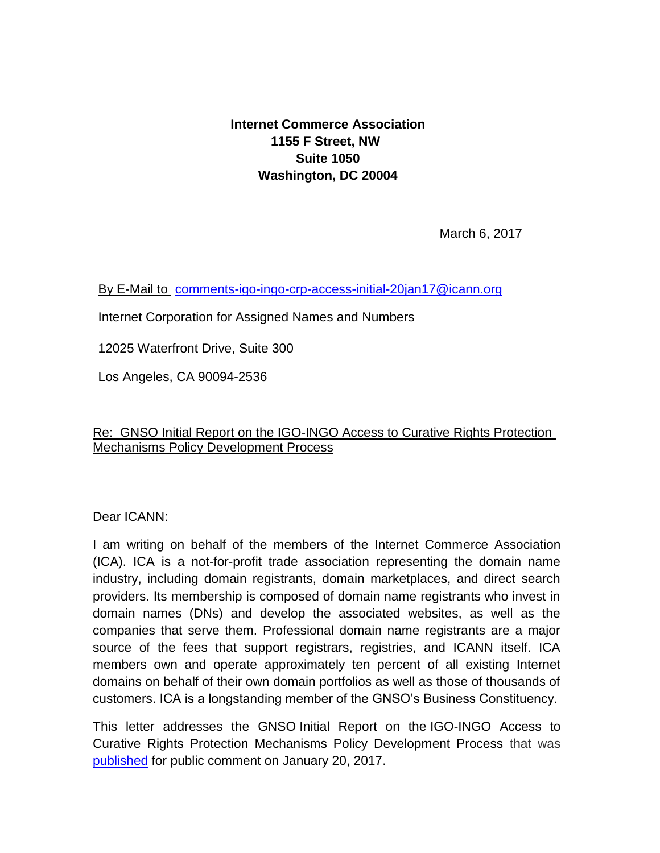**Internet Commerce Association 1155 F Street, NW Suite 1050 Washington, DC 20004**

March 6, 2017

[By E-Mail to](mailto:ByE-Mailtocomments-com-amendment-30jun16@icann.org) [comments-igo-ingo-crp-access-initial-20jan17@icann.org](mailto:comments-igo-ingo-crp-access-initial-20jan17@icann.org)

Internet Corporation for Assigned Names and Numbers

12025 Waterfront Drive, Suite 300

Los Angeles, CA 90094-2536

## Re: GNSO Initial Report on the IGO-INGO Access to Curative Rights Protection Mechanisms Policy Development Process

Dear ICANN:

I am writing on behalf of the members of the Internet Commerce Association (ICA). ICA is a not-for-profit trade association representing the domain name industry, including domain registrants, domain marketplaces, and direct search providers. Its membership is composed of domain name registrants who invest in domain names (DNs) and develop the associated websites, as well as the companies that serve them. Professional domain name registrants are a major source of the fees that support registrars, registries, and ICANN itself. ICA members own and operate approximately ten percent of all existing Internet domains on behalf of their own domain portfolios as well as those of thousands of customers. ICA is a longstanding member of the GNSO's Business Constituency.

This letter addresses the GNSO Initial Report on the IGO-INGO Access to Curative Rights Protection Mechanisms Policy Development Process that was [published](https://www.icann.org/public-comments/igo-ingo-crp-access-initial-2017-01-20-en) for public comment on January 20, 2017.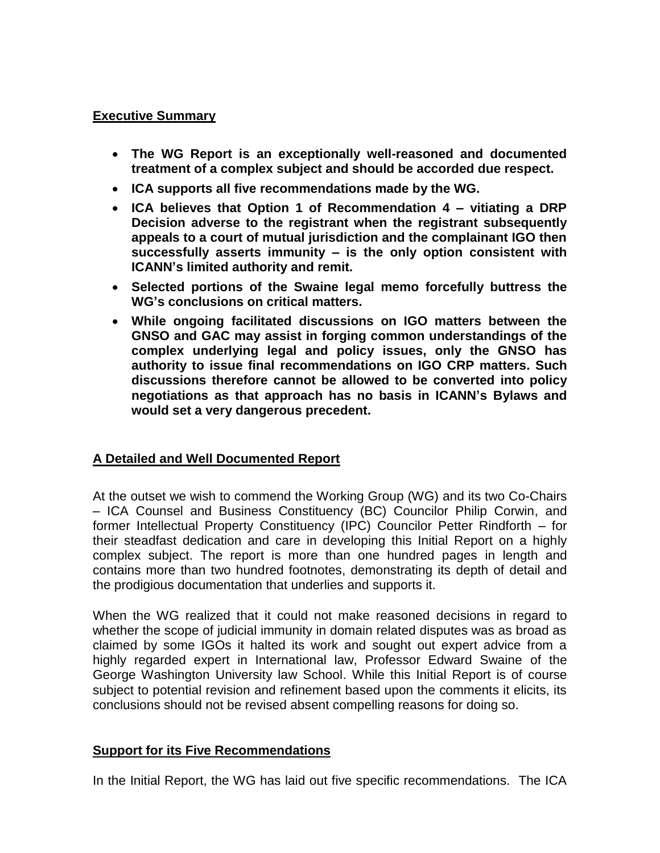#### **Executive Summary**

- **The WG Report is an exceptionally well-reasoned and documented treatment of a complex subject and should be accorded due respect.**
- **ICA supports all five recommendations made by the WG.**
- **ICA believes that Option 1 of Recommendation 4 – vitiating a DRP Decision adverse to the registrant when the registrant subsequently appeals to a court of mutual jurisdiction and the complainant IGO then successfully asserts immunity – is the only option consistent with ICANN's limited authority and remit.**
- **Selected portions of the Swaine legal memo forcefully buttress the WG's conclusions on critical matters.**
- **While ongoing facilitated discussions on IGO matters between the GNSO and GAC may assist in forging common understandings of the complex underlying legal and policy issues, only the GNSO has authority to issue final recommendations on IGO CRP matters. Such discussions therefore cannot be allowed to be converted into policy negotiations as that approach has no basis in ICANN's Bylaws and would set a very dangerous precedent.**

## **A Detailed and Well Documented Report**

At the outset we wish to commend the Working Group (WG) and its two Co-Chairs – ICA Counsel and Business Constituency (BC) Councilor Philip Corwin, and former Intellectual Property Constituency (IPC) Councilor Petter Rindforth – for their steadfast dedication and care in developing this Initial Report on a highly complex subject. The report is more than one hundred pages in length and contains more than two hundred footnotes, demonstrating its depth of detail and the prodigious documentation that underlies and supports it.

When the WG realized that it could not make reasoned decisions in regard to whether the scope of judicial immunity in domain related disputes was as broad as claimed by some IGOs it halted its work and sought out expert advice from a highly regarded expert in International law, Professor Edward Swaine of the George Washington University law School. While this Initial Report is of course subject to potential revision and refinement based upon the comments it elicits, its conclusions should not be revised absent compelling reasons for doing so.

## **Support for its Five Recommendations**

In the Initial Report, the WG has laid out five specific recommendations. The ICA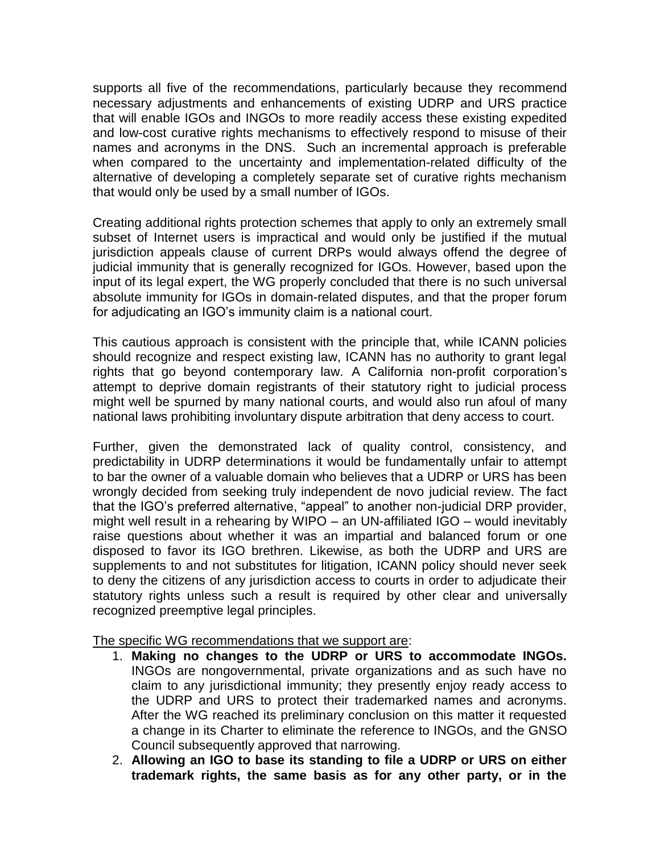supports all five of the recommendations, particularly because they recommend necessary adjustments and enhancements of existing UDRP and URS practice that will enable IGOs and INGOs to more readily access these existing expedited and low-cost curative rights mechanisms to effectively respond to misuse of their names and acronyms in the DNS. Such an incremental approach is preferable when compared to the uncertainty and implementation-related difficulty of the alternative of developing a completely separate set of curative rights mechanism that would only be used by a small number of IGOs.

Creating additional rights protection schemes that apply to only an extremely small subset of Internet users is impractical and would only be justified if the mutual jurisdiction appeals clause of current DRPs would always offend the degree of judicial immunity that is generally recognized for IGOs. However, based upon the input of its legal expert, the WG properly concluded that there is no such universal absolute immunity for IGOs in domain-related disputes, and that the proper forum for adjudicating an IGO's immunity claim is a national court.

This cautious approach is consistent with the principle that, while ICANN policies should recognize and respect existing law, ICANN has no authority to grant legal rights that go beyond contemporary law. A California non-profit corporation's attempt to deprive domain registrants of their statutory right to judicial process might well be spurned by many national courts, and would also run afoul of many national laws prohibiting involuntary dispute arbitration that deny access to court.

Further, given the demonstrated lack of quality control, consistency, and predictability in UDRP determinations it would be fundamentally unfair to attempt to bar the owner of a valuable domain who believes that a UDRP or URS has been wrongly decided from seeking truly independent de novo judicial review. The fact that the IGO's preferred alternative, "appeal" to another non-judicial DRP provider, might well result in a rehearing by WIPO – an UN-affiliated IGO – would inevitably raise questions about whether it was an impartial and balanced forum or one disposed to favor its IGO brethren. Likewise, as both the UDRP and URS are supplements to and not substitutes for litigation, ICANN policy should never seek to deny the citizens of any jurisdiction access to courts in order to adjudicate their statutory rights unless such a result is required by other clear and universally recognized preemptive legal principles.

The specific WG recommendations that we support are:

- 1. **Making no changes to the UDRP or URS to accommodate INGOs.** INGOs are nongovernmental, private organizations and as such have no claim to any jurisdictional immunity; they presently enjoy ready access to the UDRP and URS to protect their trademarked names and acronyms. After the WG reached its preliminary conclusion on this matter it requested a change in its Charter to eliminate the reference to INGOs, and the GNSO Council subsequently approved that narrowing.
- 2. **Allowing an IGO to base its standing to file a UDRP or URS on either trademark rights, the same basis as for any other party, or in the**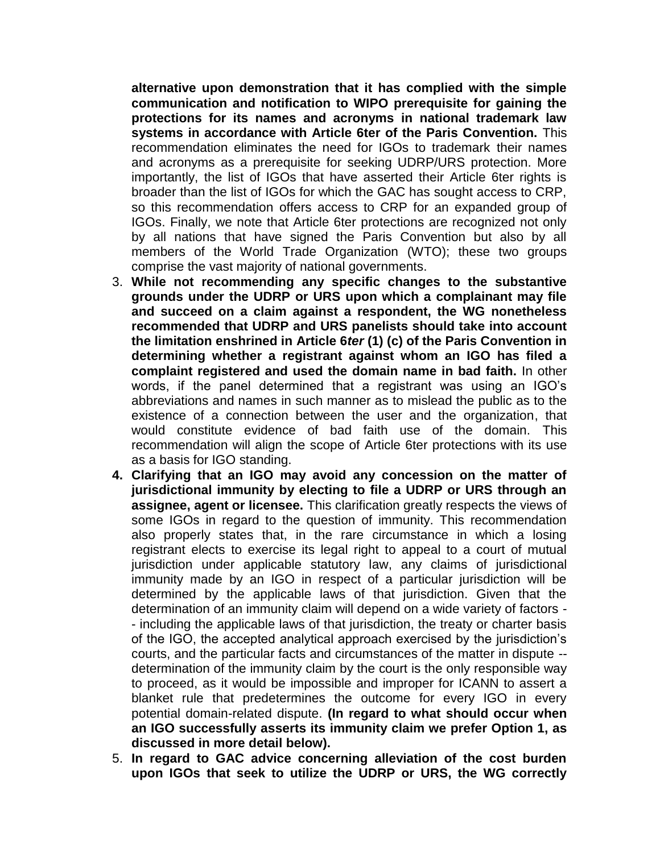**alternative upon demonstration that it has complied with the simple communication and notification to WIPO prerequisite for gaining the protections for its names and acronyms in national trademark law systems in accordance with Article 6ter of the Paris Convention.** This recommendation eliminates the need for IGOs to trademark their names and acronyms as a prerequisite for seeking UDRP/URS protection. More importantly, the list of IGOs that have asserted their Article 6ter rights is broader than the list of IGOs for which the GAC has sought access to CRP, so this recommendation offers access to CRP for an expanded group of IGOs. Finally, we note that Article 6ter protections are recognized not only by all nations that have signed the Paris Convention but also by all members of the World Trade Organization (WTO); these two groups comprise the vast majority of national governments.

- 3. **While not recommending any specific changes to the substantive grounds under the UDRP or URS upon which a complainant may file and succeed on a claim against a respondent, the WG nonetheless recommended that UDRP and URS panelists should take into account the limitation enshrined in Article 6***ter* **(1) (c) of the Paris Convention in determining whether a registrant against whom an IGO has filed a complaint registered and used the domain name in bad faith.** In other words, if the panel determined that a registrant was using an IGO's abbreviations and names in such manner as to mislead the public as to the existence of a connection between the user and the organization, that would constitute evidence of bad faith use of the domain. This recommendation will align the scope of Article 6ter protections with its use as a basis for IGO standing.
- **4. Clarifying that an IGO may avoid any concession on the matter of jurisdictional immunity by electing to file a UDRP or URS through an assignee, agent or licensee.** This clarification greatly respects the views of some IGOs in regard to the question of immunity. This recommendation also properly states that, in the rare circumstance in which a losing registrant elects to exercise its legal right to appeal to a court of mutual jurisdiction under applicable statutory law, any claims of jurisdictional immunity made by an IGO in respect of a particular jurisdiction will be determined by the applicable laws of that jurisdiction. Given that the determination of an immunity claim will depend on a wide variety of factors - - including the applicable laws of that jurisdiction, the treaty or charter basis of the IGO, the accepted analytical approach exercised by the jurisdiction's courts, and the particular facts and circumstances of the matter in dispute - determination of the immunity claim by the court is the only responsible way to proceed, as it would be impossible and improper for ICANN to assert a blanket rule that predetermines the outcome for every IGO in every potential domain-related dispute. **(In regard to what should occur when an IGO successfully asserts its immunity claim we prefer Option 1, as discussed in more detail below).**
- 5. **In regard to GAC advice concerning alleviation of the cost burden upon IGOs that seek to utilize the UDRP or URS, the WG correctly**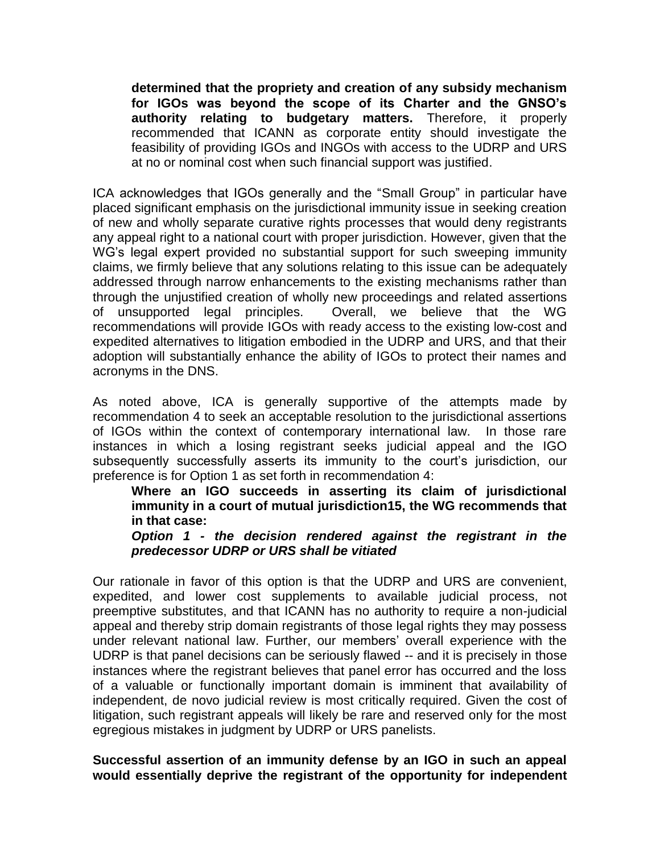**determined that the propriety and creation of any subsidy mechanism for IGOs was beyond the scope of its Charter and the GNSO's authority relating to budgetary matters.** Therefore, it properly recommended that ICANN as corporate entity should investigate the feasibility of providing IGOs and INGOs with access to the UDRP and URS at no or nominal cost when such financial support was justified.

ICA acknowledges that IGOs generally and the "Small Group" in particular have placed significant emphasis on the jurisdictional immunity issue in seeking creation of new and wholly separate curative rights processes that would deny registrants any appeal right to a national court with proper jurisdiction. However, given that the WG's legal expert provided no substantial support for such sweeping immunity claims, we firmly believe that any solutions relating to this issue can be adequately addressed through narrow enhancements to the existing mechanisms rather than through the unjustified creation of wholly new proceedings and related assertions of unsupported legal principles. Overall, we believe that the WG recommendations will provide IGOs with ready access to the existing low-cost and expedited alternatives to litigation embodied in the UDRP and URS, and that their adoption will substantially enhance the ability of IGOs to protect their names and acronyms in the DNS.

As noted above, ICA is generally supportive of the attempts made by recommendation 4 to seek an acceptable resolution to the jurisdictional assertions of IGOs within the context of contemporary international law. In those rare instances in which a losing registrant seeks judicial appeal and the IGO subsequently successfully asserts its immunity to the court's jurisdiction, our preference is for Option 1 as set forth in recommendation 4:

**Where an IGO succeeds in asserting its claim of jurisdictional immunity in a court of mutual jurisdiction15, the WG recommends that in that case:** 

*Option 1 - the decision rendered against the registrant in the predecessor UDRP or URS shall be vitiated*

Our rationale in favor of this option is that the UDRP and URS are convenient, expedited, and lower cost supplements to available judicial process, not preemptive substitutes, and that ICANN has no authority to require a non-judicial appeal and thereby strip domain registrants of those legal rights they may possess under relevant national law. Further, our members' overall experience with the UDRP is that panel decisions can be seriously flawed -- and it is precisely in those instances where the registrant believes that panel error has occurred and the loss of a valuable or functionally important domain is imminent that availability of independent, de novo judicial review is most critically required. Given the cost of litigation, such registrant appeals will likely be rare and reserved only for the most egregious mistakes in judgment by UDRP or URS panelists.

#### **Successful assertion of an immunity defense by an IGO in such an appeal would essentially deprive the registrant of the opportunity for independent**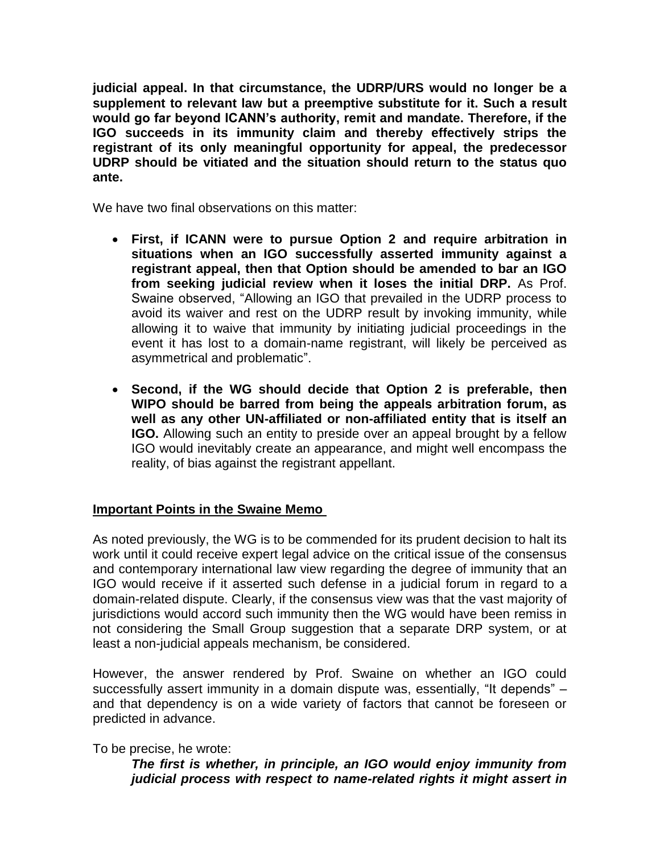**judicial appeal. In that circumstance, the UDRP/URS would no longer be a supplement to relevant law but a preemptive substitute for it. Such a result would go far beyond ICANN's authority, remit and mandate. Therefore, if the IGO succeeds in its immunity claim and thereby effectively strips the registrant of its only meaningful opportunity for appeal, the predecessor UDRP should be vitiated and the situation should return to the status quo ante.**

We have two final observations on this matter:

- **First, if ICANN were to pursue Option 2 and require arbitration in situations when an IGO successfully asserted immunity against a registrant appeal, then that Option should be amended to bar an IGO from seeking judicial review when it loses the initial DRP.** As Prof. Swaine observed, "Allowing an IGO that prevailed in the UDRP process to avoid its waiver and rest on the UDRP result by invoking immunity, while allowing it to waive that immunity by initiating judicial proceedings in the event it has lost to a domain-name registrant, will likely be perceived as asymmetrical and problematic".
- **Second, if the WG should decide that Option 2 is preferable, then WIPO should be barred from being the appeals arbitration forum, as well as any other UN-affiliated or non-affiliated entity that is itself an IGO.** Allowing such an entity to preside over an appeal brought by a fellow IGO would inevitably create an appearance, and might well encompass the reality, of bias against the registrant appellant.

## **Important Points in the Swaine Memo**

As noted previously, the WG is to be commended for its prudent decision to halt its work until it could receive expert legal advice on the critical issue of the consensus and contemporary international law view regarding the degree of immunity that an IGO would receive if it asserted such defense in a judicial forum in regard to a domain-related dispute. Clearly, if the consensus view was that the vast majority of jurisdictions would accord such immunity then the WG would have been remiss in not considering the Small Group suggestion that a separate DRP system, or at least a non-judicial appeals mechanism, be considered.

However, the answer rendered by Prof. Swaine on whether an IGO could successfully assert immunity in a domain dispute was, essentially, "It depends" – and that dependency is on a wide variety of factors that cannot be foreseen or predicted in advance.

To be precise, he wrote:

*The first is whether, in principle, an IGO would enjoy immunity from judicial process with respect to name-related rights it might assert in*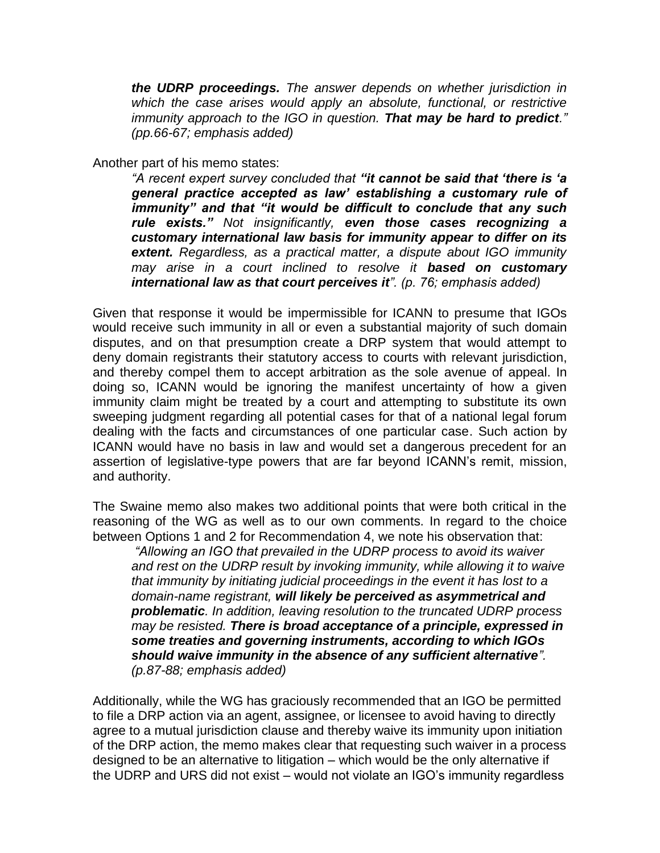*the UDRP proceedings. The answer depends on whether jurisdiction in which the case arises would apply an absolute, functional, or restrictive immunity approach to the IGO in question. That may be hard to predict." (pp.66-67; emphasis added)*

Another part of his memo states:

*"A recent expert survey concluded that "it cannot be said that 'there is 'a general practice accepted as law' establishing a customary rule of immunity" and that "it would be difficult to conclude that any such rule exists." Not insignificantly, even those cases recognizing a customary international law basis for immunity appear to differ on its extent. Regardless, as a practical matter, a dispute about IGO immunity may arise in a court inclined to resolve it based on customary international law as that court perceives it". (p. 76; emphasis added)*

Given that response it would be impermissible for ICANN to presume that IGOs would receive such immunity in all or even a substantial majority of such domain disputes, and on that presumption create a DRP system that would attempt to deny domain registrants their statutory access to courts with relevant jurisdiction, and thereby compel them to accept arbitration as the sole avenue of appeal. In doing so, ICANN would be ignoring the manifest uncertainty of how a given immunity claim might be treated by a court and attempting to substitute its own sweeping judgment regarding all potential cases for that of a national legal forum dealing with the facts and circumstances of one particular case. Such action by ICANN would have no basis in law and would set a dangerous precedent for an assertion of legislative-type powers that are far beyond ICANN's remit, mission, and authority.

The Swaine memo also makes two additional points that were both critical in the reasoning of the WG as well as to our own comments. In regard to the choice between Options 1 and 2 for Recommendation 4, we note his observation that:

*"Allowing an IGO that prevailed in the UDRP process to avoid its waiver and rest on the UDRP result by invoking immunity, while allowing it to waive that immunity by initiating judicial proceedings in the event it has lost to a domain-name registrant, will likely be perceived as asymmetrical and problematic. In addition, leaving resolution to the truncated UDRP process may be resisted. There is broad acceptance of a principle, expressed in some treaties and governing instruments, according to which IGOs should waive immunity in the absence of any sufficient alternative". (p.87-88; emphasis added)*

Additionally, while the WG has graciously recommended that an IGO be permitted to file a DRP action via an agent, assignee, or licensee to avoid having to directly agree to a mutual jurisdiction clause and thereby waive its immunity upon initiation of the DRP action, the memo makes clear that requesting such waiver in a process designed to be an alternative to litigation – which would be the only alternative if the UDRP and URS did not exist – would not violate an IGO's immunity regardless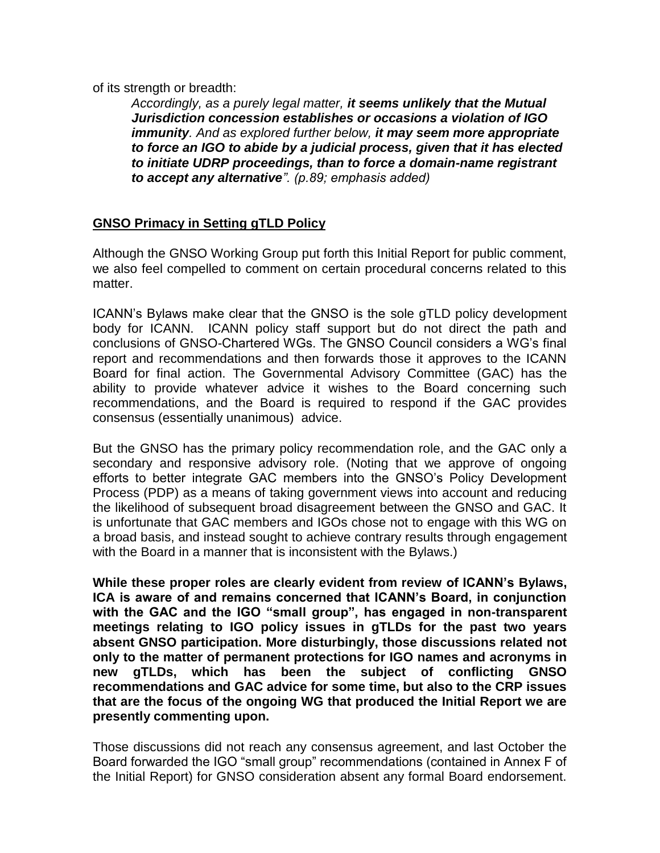of its strength or breadth:

*Accordingly, as a purely legal matter, it seems unlikely that the Mutual Jurisdiction concession establishes or occasions a violation of IGO immunity. And as explored further below, it may seem more appropriate to force an IGO to abide by a judicial process, given that it has elected to initiate UDRP proceedings, than to force a domain-name registrant to accept any alternative". (p.89; emphasis added)*

# **GNSO Primacy in Setting gTLD Policy**

Although the GNSO Working Group put forth this Initial Report for public comment, we also feel compelled to comment on certain procedural concerns related to this matter.

ICANN's Bylaws make clear that the GNSO is the sole gTLD policy development body for ICANN. ICANN policy staff support but do not direct the path and conclusions of GNSO-Chartered WGs. The GNSO Council considers a WG's final report and recommendations and then forwards those it approves to the ICANN Board for final action. The Governmental Advisory Committee (GAC) has the ability to provide whatever advice it wishes to the Board concerning such recommendations, and the Board is required to respond if the GAC provides consensus (essentially unanimous) advice.

But the GNSO has the primary policy recommendation role, and the GAC only a secondary and responsive advisory role. (Noting that we approve of ongoing efforts to better integrate GAC members into the GNSO's Policy Development Process (PDP) as a means of taking government views into account and reducing the likelihood of subsequent broad disagreement between the GNSO and GAC. It is unfortunate that GAC members and IGOs chose not to engage with this WG on a broad basis, and instead sought to achieve contrary results through engagement with the Board in a manner that is inconsistent with the Bylaws.)

**While these proper roles are clearly evident from review of ICANN's Bylaws, ICA is aware of and remains concerned that ICANN's Board, in conjunction with the GAC and the IGO "small group", has engaged in non-transparent meetings relating to IGO policy issues in gTLDs for the past two years absent GNSO participation. More disturbingly, those discussions related not only to the matter of permanent protections for IGO names and acronyms in new gTLDs, which has been the subject of conflicting GNSO recommendations and GAC advice for some time, but also to the CRP issues that are the focus of the ongoing WG that produced the Initial Report we are presently commenting upon.** 

Those discussions did not reach any consensus agreement, and last October the Board forwarded the IGO "small group" recommendations (contained in Annex F of the Initial Report) for GNSO consideration absent any formal Board endorsement.